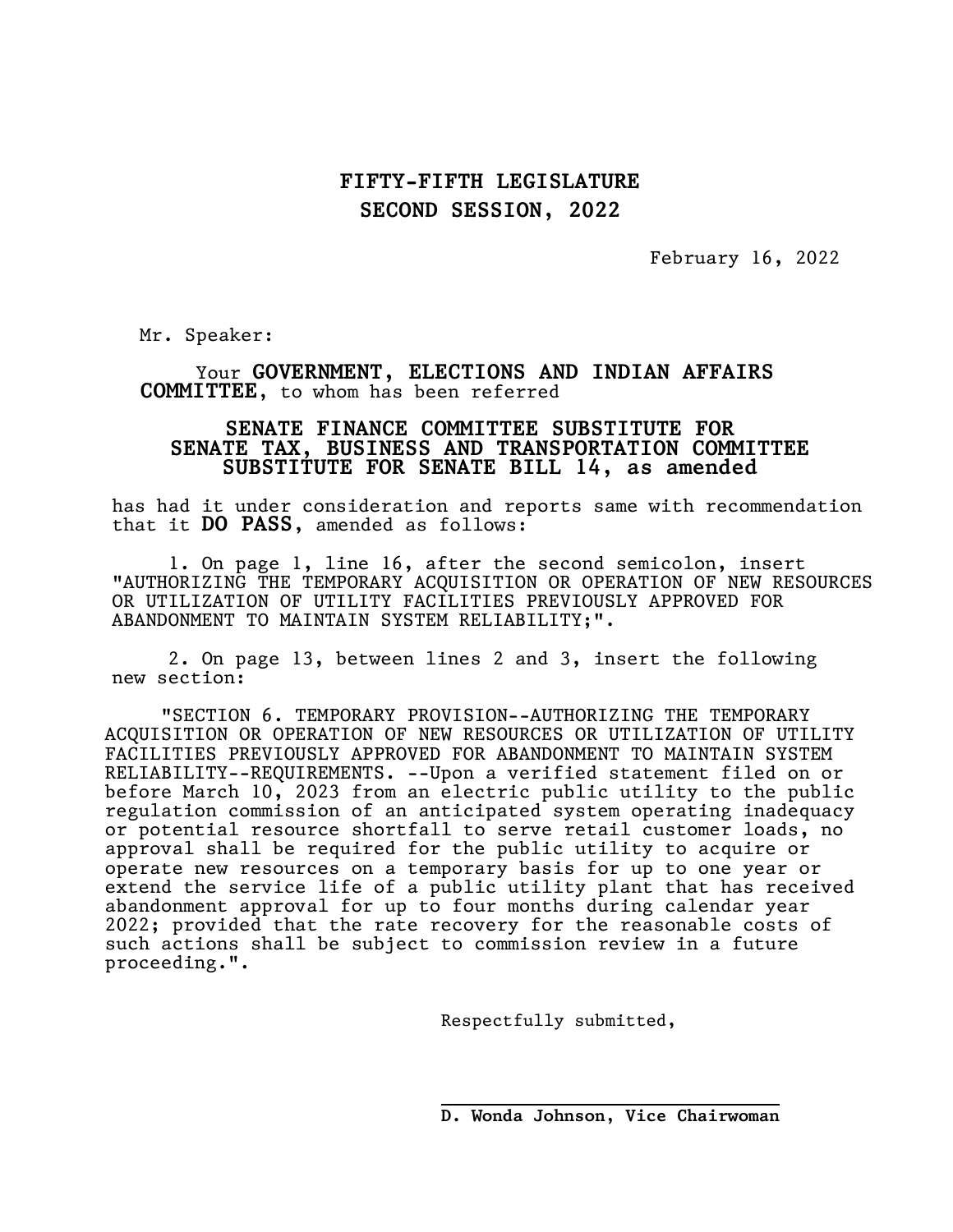## FIFTY-FIFTH LEGISLATURE SECOND SESSION, 2022

February 16, 2022

Mr. Speaker:

Your GOVERNMENT, ELECTIONS AND INDIAN AFFAIRS COMMITTEE, to whom has been referred

## SENATE FINANCE COMMITTEE SUBSTITUTE FOR SENATE TAX, BUSINESS AND TRANSPORTATION COMMITTEE SUBSTITUTE FOR SENATE BILL 14, as amended

has had it under consideration and reports same with recommendation that it DO PASS, amended as follows:

1. On page 1, line 16, after the second semicolon, insert "AUTHORIZING THE TEMPORARY ACQUISITION OR OPERATION OF NEW RESOURCES OR UTILIZATION OF UTILITY FACILITIES PREVIOUSLY APPROVED FOR ABANDONMENT TO MAINTAIN SYSTEM RELIABILITY;".

2. On page 13, between lines 2 and 3, insert the following new section:

"SECTION 6. TEMPORARY PROVISION--AUTHORIZING THE TEMPORARY ACQUISITION OR OPERATION OF NEW RESOURCES OR UTILIZATION OF UTILITY FACILITIES PREVIOUSLY APPROVED FOR ABANDONMENT TO MAINTAIN SYSTEM RELIABILITY--REQUIREMENTS. --Upon a verified statement filed on or before March 10, 2023 from an electric public utility to the public regulation commission of an anticipated system operating inadequacy or potential resource shortfall to serve retail customer loads, no approval shall be required for the public utility to acquire or operate new resources on a temporary basis for up to one year or extend the service life of a public utility plant that has received abandonment approval for up to four months during calendar year 2022; provided that the rate recovery for the reasonable costs of such actions shall be subject to commission review in a future proceeding.".

 $\overline{\phantom{a}}$ 

Respectfully submitted,